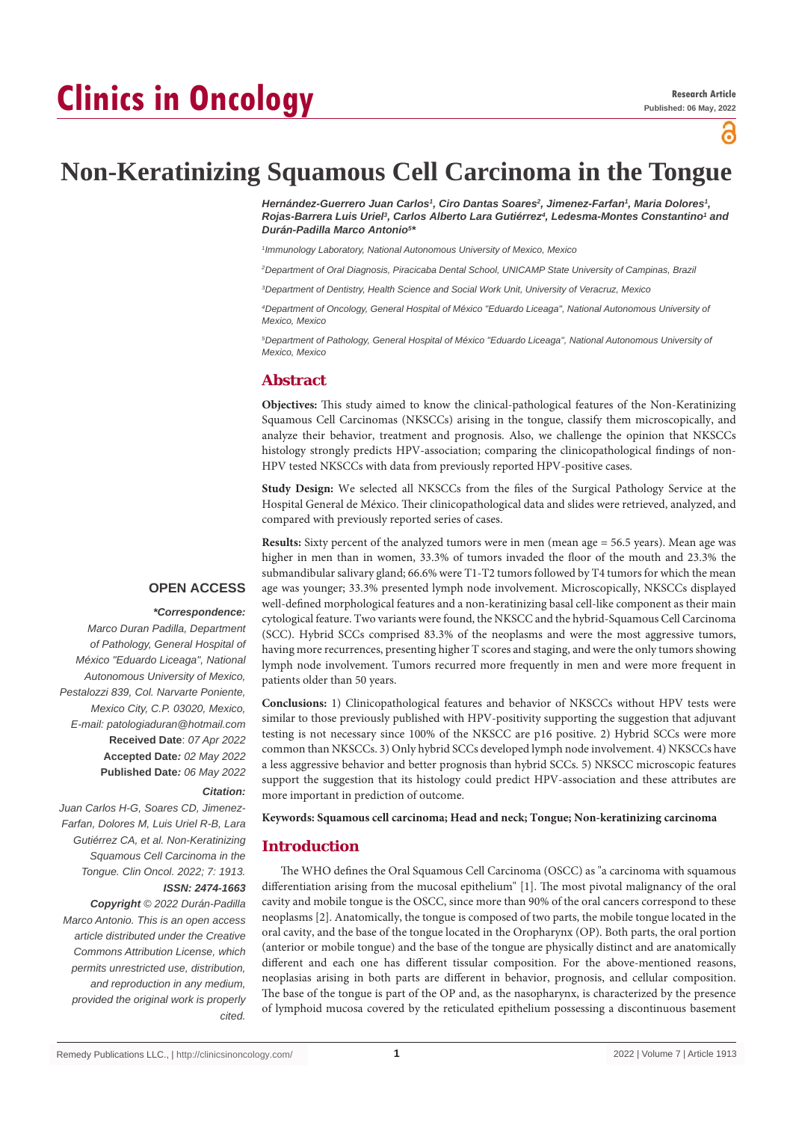# **Clinics in Oncology**



# **Non-Keratinizing Squamous Cell Carcinoma in the Tongue**

*Hernández-Guerrero Juan Carlos1 , Ciro Dantas Soares2 , Jimenez-Farfan1 , Maria Dolores1 , Rojas-Barrera Luis Uriel3 , Carlos Alberto Lara Gutiérrez4 , Ledesma-Montes Constantino1 and Durán-Padilla Marco Antonio5 \**

*1 Immunology Laboratory, National Autonomous University of Mexico, Mexico*

*2 Department of Oral Diagnosis, Piracicaba Dental School, UNICAMP State University of Campinas, Brazil*

*3 Department of Dentistry, Health Science and Social Work Unit, University of Veracruz, Mexico*

*4 Department of Oncology, General Hospital of México "Eduardo Liceaga", National Autonomous University of Mexico, Mexico*

*5 Department of Pathology, General Hospital of México "Eduardo Liceaga", National Autonomous University of Mexico, Mexico*

# **Abstract**

**Objectives:** This study aimed to know the clinical-pathological features of the Non-Keratinizing Squamous Cell Carcinomas (NKSCCs) arising in the tongue, classify them microscopically, and analyze their behavior, treatment and prognosis. Also, we challenge the opinion that NKSCCs histology strongly predicts HPV-association; comparing the clinicopathological findings of non-HPV tested NKSCCs with data from previously reported HPV-positive cases.

**Study Design:** We selected all NKSCCs from the files of the Surgical Pathology Service at the Hospital General de México. Their clinicopathological data and slides were retrieved, analyzed, and compared with previously reported series of cases.

**Results:** Sixty percent of the analyzed tumors were in men (mean age = 56.5 years). Mean age was higher in men than in women, 33.3% of tumors invaded the floor of the mouth and 23.3% the submandibular salivary gland; 66.6% were T1-T2 tumors followed by T4 tumors for which the mean age was younger; 33.3% presented lymph node involvement. Microscopically, NKSCCs displayed well-defined morphological features and a non-keratinizing basal cell-like component as their main cytological feature. Two variants were found, the NKSCC and the hybrid-Squamous Cell Carcinoma (SCC). Hybrid SCCs comprised 83.3% of the neoplasms and were the most aggressive tumors, having more recurrences, presenting higher T scores and staging, and were the only tumors showing lymph node involvement. Tumors recurred more frequently in men and were more frequent in patients older than 50 years.

**Conclusions:** 1) Clinicopathological features and behavior of NKSCCs without HPV tests were similar to those previously published with HPV-positivity supporting the suggestion that adjuvant testing is not necessary since 100% of the NKSCC are p16 positive. 2) Hybrid SCCs were more common than NKSCCs. 3) Only hybrid SCCs developed lymph node involvement. 4) NKSCCs have a less aggressive behavior and better prognosis than hybrid SCCs. 5) NKSCC microscopic features support the suggestion that its histology could predict HPV-association and these attributes are more important in prediction of outcome.

#### **Keywords: Squamous cell carcinoma; Head and neck; Tongue; Non-keratinizing carcinoma**

#### **Introduction**

The WHO defines the Oral Squamous Cell Carcinoma (OSCC) as "a carcinoma with squamous differentiation arising from the mucosal epithelium" [1]. The most pivotal malignancy of the oral cavity and mobile tongue is the OSCC, since more than 90% of the oral cancers correspond to these neoplasms [2]. Anatomically, the tongue is composed of two parts, the mobile tongue located in the oral cavity, and the base of the tongue located in the Oropharynx (OP). Both parts, the oral portion (anterior or mobile tongue) and the base of the tongue are physically distinct and are anatomically different and each one has different tissular composition. For the above-mentioned reasons, neoplasias arising in both parts are different in behavior, prognosis, and cellular composition. The base of the tongue is part of the OP and, as the nasopharynx, is characterized by the presence of lymphoid mucosa covered by the reticulated epithelium possessing a discontinuous basement

# **OPEN ACCESS**

#### *\*Correspondence:*

*Marco Duran Padilla, Department of Pathology, General Hospital of México "Eduardo Liceaga", National Autonomous University of Mexico, Pestalozzi 839, Col. Narvarte Poniente, Mexico City, C.P. 03020, Mexico, E-mail: patologiaduran@hotmail.com* **Received Date**: *07 Apr 2022* **Accepted Date***: 02 May 2022* **Published Date***: 06 May 2022*

### *Citation:*

*Juan Carlos H-G, Soares CD, Jimenez-Farfan, Dolores M, Luis Uriel R-B, Lara Gutiérrez CA, et al. Non-Keratinizing Squamous Cell Carcinoma in the Tongue. Clin Oncol. 2022; 7: 1913. ISSN: 2474-1663*

*Copyright © 2022 Durán-Padilla Marco Antonio. This is an open access article distributed under the Creative Commons Attribution License, which permits unrestricted use, distribution, and reproduction in any medium, provided the original work is properly cited.*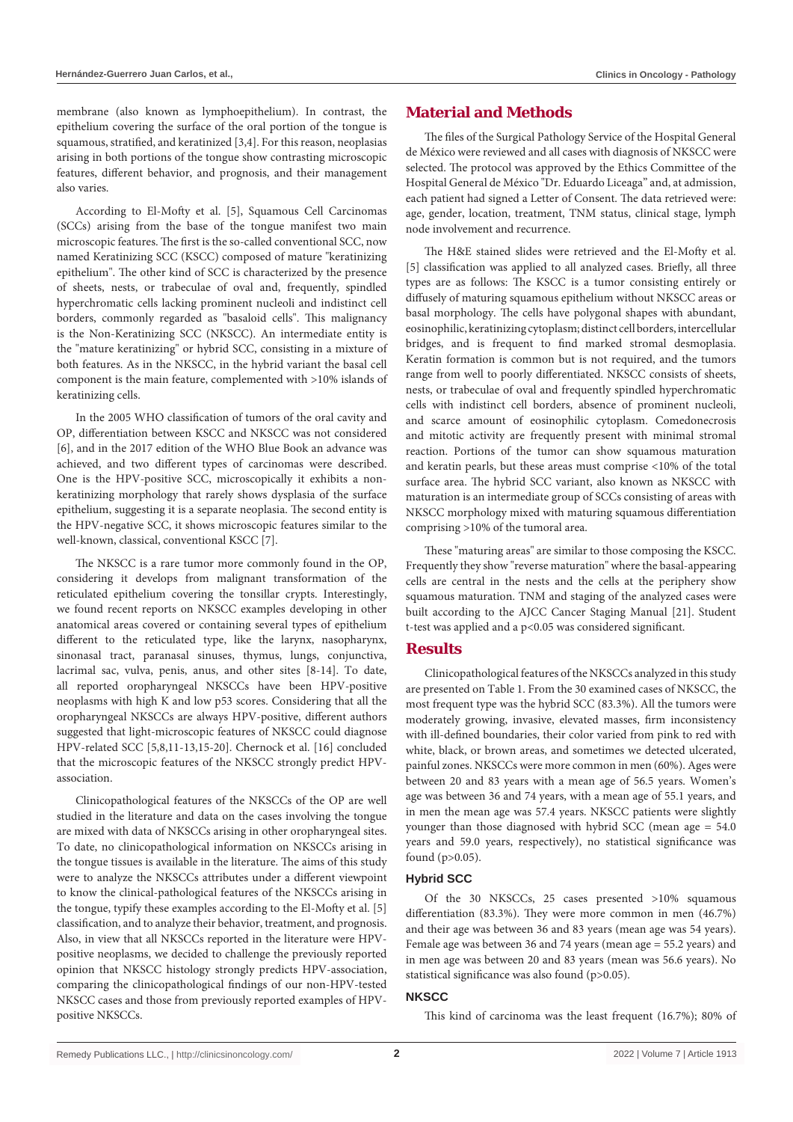membrane (also known as lymphoepithelium). In contrast, the epithelium covering the surface of the oral portion of the tongue is squamous, stratified, and keratinized [3,4]. For this reason, neoplasias arising in both portions of the tongue show contrasting microscopic features, different behavior, and prognosis, and their management also varies.

According to El-Mofty et al. [5], Squamous Cell Carcinomas (SCCs) arising from the base of the tongue manifest two main microscopic features. The first is the so-called conventional SCC, now named Keratinizing SCC (KSCC) composed of mature "keratinizing epithelium". The other kind of SCC is characterized by the presence of sheets, nests, or trabeculae of oval and, frequently, spindled hyperchromatic cells lacking prominent nucleoli and indistinct cell borders, commonly regarded as "basaloid cells". This malignancy is the Non-Keratinizing SCC (NKSCC). An intermediate entity is the "mature keratinizing" or hybrid SCC, consisting in a mixture of both features. As in the NKSCC, in the hybrid variant the basal cell component is the main feature, complemented with >10% islands of keratinizing cells.

In the 2005 WHO classification of tumors of the oral cavity and OP, differentiation between KSCC and NKSCC was not considered [6], and in the 2017 edition of the WHO Blue Book an advance was achieved, and two different types of carcinomas were described. One is the HPV-positive SCC, microscopically it exhibits a nonkeratinizing morphology that rarely shows dysplasia of the surface epithelium, suggesting it is a separate neoplasia. The second entity is the HPV-negative SCC, it shows microscopic features similar to the well-known, classical, conventional KSCC [7].

The NKSCC is a rare tumor more commonly found in the OP, considering it develops from malignant transformation of the reticulated epithelium covering the tonsillar crypts. Interestingly, we found recent reports on NKSCC examples developing in other anatomical areas covered or containing several types of epithelium different to the reticulated type, like the larynx, nasopharynx, sinonasal tract, paranasal sinuses, thymus, lungs, conjunctiva, lacrimal sac, vulva, penis, anus, and other sites [8-14]. To date, all reported oropharyngeal NKSCCs have been HPV-positive neoplasms with high K and low p53 scores. Considering that all the oropharyngeal NKSCCs are always HPV-positive, different authors suggested that light-microscopic features of NKSCC could diagnose HPV-related SCC [5,8,11-13,15-20]. Chernock et al. [16] concluded that the microscopic features of the NKSCC strongly predict HPVassociation.

Clinicopathological features of the NKSCCs of the OP are well studied in the literature and data on the cases involving the tongue are mixed with data of NKSCCs arising in other oropharyngeal sites. To date, no clinicopathological information on NKSCCs arising in the tongue tissues is available in the literature. The aims of this study were to analyze the NKSCCs attributes under a different viewpoint to know the clinical-pathological features of the NKSCCs arising in the tongue, typify these examples according to the El-Mofty et al. [5] classification, and to analyze their behavior, treatment, and prognosis. Also, in view that all NKSCCs reported in the literature were HPVpositive neoplasms, we decided to challenge the previously reported opinion that NKSCC histology strongly predicts HPV-association, comparing the clinicopathological findings of our non-HPV-tested NKSCC cases and those from previously reported examples of HPVpositive NKSCCs.

# **Material and Methods**

The files of the Surgical Pathology Service of the Hospital General de México were reviewed and all cases with diagnosis of NKSCC were selected. The protocol was approved by the Ethics Committee of the Hospital General de México "Dr. Eduardo Liceaga" and, at admission, each patient had signed a Letter of Consent. The data retrieved were: age, gender, location, treatment, TNM status, clinical stage, lymph node involvement and recurrence.

The H&E stained slides were retrieved and the El-Mofty et al. [5] classification was applied to all analyzed cases. Briefly, all three types are as follows: The KSCC is a tumor consisting entirely or diffusely of maturing squamous epithelium without NKSCC areas or basal morphology. The cells have polygonal shapes with abundant, eosinophilic, keratinizing cytoplasm; distinct cell borders, intercellular bridges, and is frequent to find marked stromal desmoplasia. Keratin formation is common but is not required, and the tumors range from well to poorly differentiated. NKSCC consists of sheets, nests, or trabeculae of oval and frequently spindled hyperchromatic cells with indistinct cell borders, absence of prominent nucleoli, and scarce amount of eosinophilic cytoplasm. Comedonecrosis and mitotic activity are frequently present with minimal stromal reaction. Portions of the tumor can show squamous maturation and keratin pearls, but these areas must comprise <10% of the total surface area. The hybrid SCC variant, also known as NKSCC with maturation is an intermediate group of SCCs consisting of areas with NKSCC morphology mixed with maturing squamous differentiation comprising >10% of the tumoral area.

These "maturing areas" are similar to those composing the KSCC. Frequently they show "reverse maturation" where the basal-appearing cells are central in the nests and the cells at the periphery show squamous maturation. TNM and staging of the analyzed cases were built according to the AJCC Cancer Staging Manual [21]. Student t-test was applied and a p<0.05 was considered significant.

# **Results**

Clinicopathological features of the NKSCCs analyzed in this study are presented on Table 1. From the 30 examined cases of NKSCC, the most frequent type was the hybrid SCC (83.3%). All the tumors were moderately growing, invasive, elevated masses, firm inconsistency with ill-defined boundaries, their color varied from pink to red with white, black, or brown areas, and sometimes we detected ulcerated, painful zones. NKSCCs were more common in men (60%). Ages were between 20 and 83 years with a mean age of 56.5 years. Women's age was between 36 and 74 years, with a mean age of 55.1 years, and in men the mean age was 57.4 years. NKSCC patients were slightly younger than those diagnosed with hybrid SCC (mean age = 54.0 years and 59.0 years, respectively), no statistical significance was found (p>0.05).

# **Hybrid SCC**

Of the 30 NKSCCs, 25 cases presented >10% squamous differentiation (83.3%). They were more common in men (46.7%) and their age was between 36 and 83 years (mean age was 54 years). Female age was between 36 and 74 years (mean age = 55.2 years) and in men age was between 20 and 83 years (mean was 56.6 years). No statistical significance was also found (p>0.05).

### **NKSCC**

This kind of carcinoma was the least frequent (16.7%); 80% of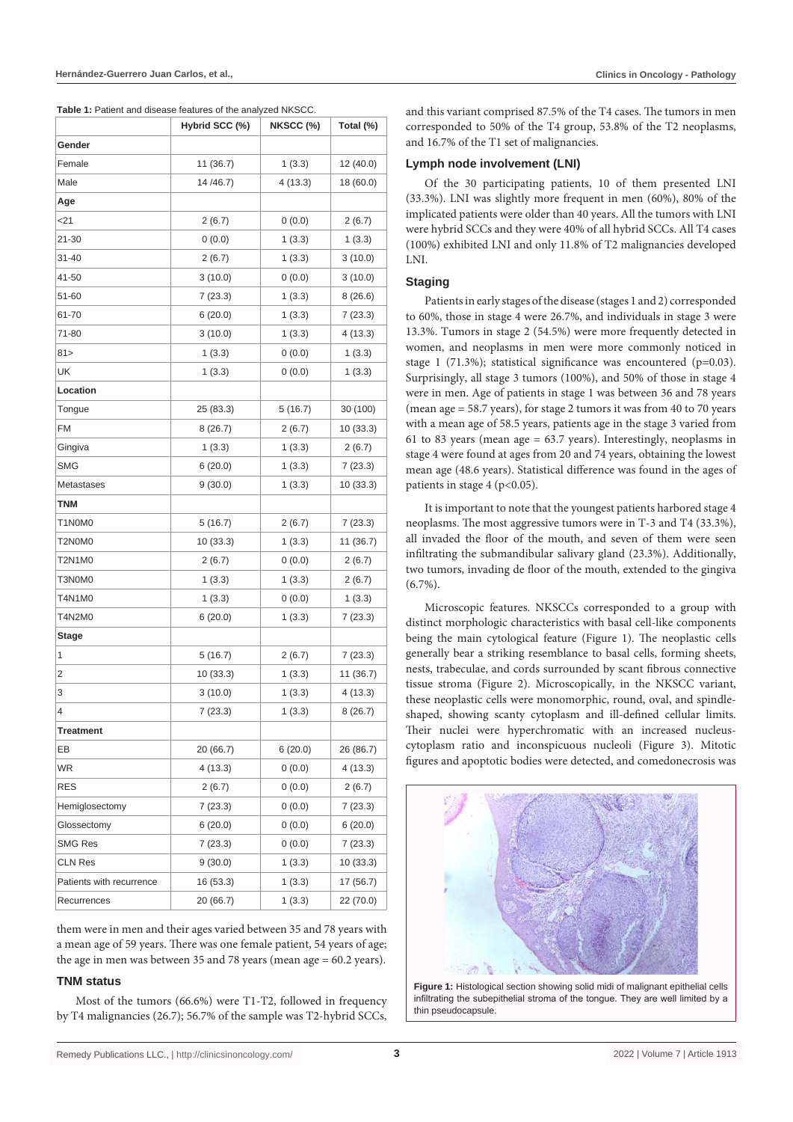**Table 1:** Patient and disease features of the analyzed NKSCC.

|                          | Hybrid SCC (%) | NKSCC (%) | Total (%) |
|--------------------------|----------------|-----------|-----------|
| Gender                   |                |           |           |
| Female                   | 11 (36.7)      | 1(3.3)    | 12 (40.0) |
| Male                     | 14/46.7)       | 4(13.3)   | 18 (60.0) |
| Age                      |                |           |           |
| <21                      | 2(6.7)         | 0(0.0)    | 2(6.7)    |
| 21-30                    | 0(0.0)         | 1(3.3)    | 1(3.3)    |
| 31-40                    | 2(6.7)         | 1(3.3)    | 3(10.0)   |
| 41-50                    | 3(10.0)        | 0(0.0)    | 3(10.0)   |
| 51-60                    | 7(23.3)        | 1(3.3)    | 8(26.6)   |
| 61-70                    | 6(20.0)        | 1(3.3)    | 7 (23.3)  |
| 71-80                    | 3(10.0)        | 1(3.3)    | 4(13.3)   |
| 81>                      | 1(3.3)         | 0(0.0)    | 1(3.3)    |
| UK                       | 1(3.3)         | 0(0.0)    | 1(3.3)    |
| Location                 |                |           |           |
| Tongue                   | 25 (83.3)      | 5(16.7)   | 30 (100)  |
| <b>FM</b>                | 8(26.7)        | 2 (6.7)   | 10 (33.3) |
| Gingiva                  | 1(3.3)         | 1(3.3)    | 2(6.7)    |
| <b>SMG</b>               | 6(20.0)        | 1(3.3)    | 7(23.3)   |
| Metastases               | 9(30.0)        | 1(3.3)    | 10 (33.3) |
| TNM                      |                |           |           |
| T1N0M0                   | 5 (16.7)       | 2 (6.7)   | 7(23.3)   |
| T2N0M0                   | 10 (33.3)      | 1(3.3)    | 11 (36.7) |
| T2N1M0                   | 2(6.7)         | 0(0.0)    | 2(6.7)    |
| T3N0M0                   | 1(3.3)         | 1(3.3)    | 2(6.7)    |
| T4N1M0                   | 1(3.3)         | 0(0.0)    | 1(3.3)    |
| T4N2M0                   | 6(20.0)        | 1(3.3)    | 7(23.3)   |
| Stage                    |                |           |           |
| 1                        | 5 (16.7)       | 2(6.7)    | 7(23.3)   |
| 2                        | 10 (33.3)      | 1(3.3)    | 11 (36.7) |
| 3                        | 3(10.0)        | 1(3.3)    | 4 (13.3)  |
| 4                        | 7(23.3)        | 1(3.3)    | 8(26.7)   |
| Treatment                |                |           |           |
| EB                       | 20 (66.7)      | 6(20.0)   | 26 (86.7) |
| <b>WR</b>                | 4 (13.3)       | 0(0.0)    | 4(13.3)   |
| <b>RES</b>               | 2(6.7)         | 0(0.0)    | 2(6.7)    |
| Hemiglosectomy           | 7(23.3)        | 0(0.0)    | 7(23.3)   |
| Glossectomy              | 6(20.0)        | (0.0)     | 6(20.0)   |
| <b>SMG Res</b>           | 7(23.3)        | 0(0.0)    | 7(23.3)   |
| <b>CLN Res</b>           | 9(30.0)        | 1(3.3)    | 10(33.3)  |
| Patients with recurrence | 16 (53.3)      | 1(3.3)    | 17 (56.7) |
| Recurrences              | 20 (66.7)      | 1(3.3)    | 22 (70.0) |

them were in men and their ages varied between 35 and 78 years with a mean age of 59 years. There was one female patient, 54 years of age; the age in men was between 35 and 78 years (mean age = 60.2 years).

#### **TNM status**

Most of the tumors (66.6%) were T1-T2, followed in frequency by T4 malignancies (26.7); 56.7% of the sample was T2-hybrid SCCs,

and this variant comprised 87.5% of the T4 cases. The tumors in men corresponded to 50% of the T4 group, 53.8% of the T2 neoplasms, and 16.7% of the T1 set of malignancies.

#### **Lymph node involvement (LNI)**

Of the 30 participating patients, 10 of them presented LNI (33.3%). LNI was slightly more frequent in men (60%), 80% of the implicated patients were older than 40 years. All the tumors with LNI were hybrid SCCs and they were 40% of all hybrid SCCs. All T4 cases (100%) exhibited LNI and only 11.8% of T2 malignancies developed LNI.

#### **Staging**

Patients in early stages of the disease (stages 1 and 2) corresponded to 60%, those in stage 4 were 26.7%, and individuals in stage 3 were 13.3%. Tumors in stage 2 (54.5%) were more frequently detected in women, and neoplasms in men were more commonly noticed in stage 1 (71.3%); statistical significance was encountered (p=0.03). Surprisingly, all stage 3 tumors (100%), and 50% of those in stage 4 were in men. Age of patients in stage 1 was between 36 and 78 years (mean age = 58.7 years), for stage 2 tumors it was from 40 to 70 years with a mean age of 58.5 years, patients age in the stage 3 varied from 61 to 83 years (mean age = 63.7 years). Interestingly, neoplasms in stage 4 were found at ages from 20 and 74 years, obtaining the lowest mean age (48.6 years). Statistical difference was found in the ages of patients in stage 4 ( $p<0.05$ ).

It is important to note that the youngest patients harbored stage 4 neoplasms. The most aggressive tumors were in T-3 and T4 (33.3%), all invaded the floor of the mouth, and seven of them were seen infiltrating the submandibular salivary gland (23.3%). Additionally, two tumors, invading de floor of the mouth, extended to the gingiva  $(6.7\%)$ .

Microscopic features. NKSCCs corresponded to a group with distinct morphologic characteristics with basal cell-like components being the main cytological feature (Figure 1). The neoplastic cells generally bear a striking resemblance to basal cells, forming sheets, nests, trabeculae, and cords surrounded by scant fibrous connective tissue stroma (Figure 2). Microscopically, in the NKSCC variant, these neoplastic cells were monomorphic, round, oval, and spindleshaped, showing scanty cytoplasm and ill-defined cellular limits. Their nuclei were hyperchromatic with an increased nucleuscytoplasm ratio and inconspicuous nucleoli (Figure 3). Mitotic figures and apoptotic bodies were detected, and comedonecrosis was



**Figure 1:** Histological section showing solid midi of malignant epithelial cells infiltrating the subepithelial stroma of the tongue. They are well limited by a thin pseudocapsule.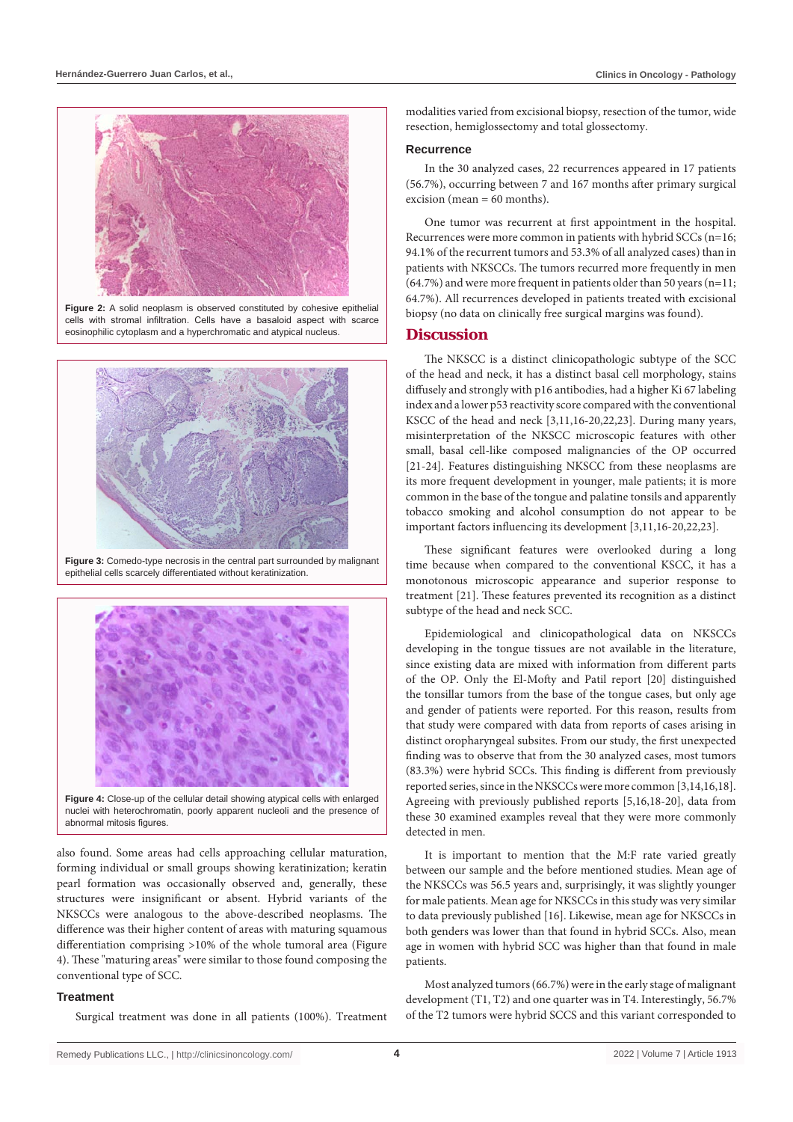

**Figure 2:** A solid neoplasm is observed constituted by cohesive epithelial cells with stromal infiltration. Cells have a basaloid aspect with scarce eosinophilic cytoplasm and a hyperchromatic and atypical nucleus.



**Figure 3:** Comedo-type necrosis in the central part surrounded by malignant epithelial cells scarcely differentiated without keratinization.



nuclei with heterochromatin, poorly apparent nucleoli and the presence of abnormal mitosis figures.

also found. Some areas had cells approaching cellular maturation, forming individual or small groups showing keratinization; keratin pearl formation was occasionally observed and, generally, these structures were insignificant or absent. Hybrid variants of the NKSCCs were analogous to the above-described neoplasms. The difference was their higher content of areas with maturing squamous differentiation comprising >10% of the whole tumoral area (Figure 4). These "maturing areas" were similar to those found composing the conventional type of SCC.

### **Treatment**

Surgical treatment was done in all patients (100%). Treatment

modalities varied from excisional biopsy, resection of the tumor, wide resection, hemiglossectomy and total glossectomy.

#### **Recurrence**

In the 30 analyzed cases, 22 recurrences appeared in 17 patients (56.7%), occurring between 7 and 167 months after primary surgical excision (mean  $= 60$  months).

One tumor was recurrent at first appointment in the hospital. Recurrences were more common in patients with hybrid SCCs (n=16; 94.1% of the recurrent tumors and 53.3% of all analyzed cases) than in patients with NKSCCs. The tumors recurred more frequently in men (64.7%) and were more frequent in patients older than 50 years (n=11; 64.7%). All recurrences developed in patients treated with excisional biopsy (no data on clinically free surgical margins was found).

#### **Discussion**

The NKSCC is a distinct clinicopathologic subtype of the SCC of the head and neck, it has a distinct basal cell morphology, stains diffusely and strongly with p16 antibodies, had a higher Ki 67 labeling index and a lower p53 reactivity score compared with the conventional KSCC of the head and neck [3,11,16-20,22,23]. During many years, misinterpretation of the NKSCC microscopic features with other small, basal cell-like composed malignancies of the OP occurred [21-24]. Features distinguishing NKSCC from these neoplasms are its more frequent development in younger, male patients; it is more common in the base of the tongue and palatine tonsils and apparently tobacco smoking and alcohol consumption do not appear to be important factors influencing its development [3,11,16-20,22,23].

These significant features were overlooked during a long time because when compared to the conventional KSCC, it has a monotonous microscopic appearance and superior response to treatment [21]. These features prevented its recognition as a distinct subtype of the head and neck SCC.

Epidemiological and clinicopathological data on NKSCCs developing in the tongue tissues are not available in the literature, since existing data are mixed with information from different parts of the OP. Only the El-Mofty and Patil report [20] distinguished the tonsillar tumors from the base of the tongue cases, but only age and gender of patients were reported. For this reason, results from that study were compared with data from reports of cases arising in distinct oropharyngeal subsites. From our study, the first unexpected finding was to observe that from the 30 analyzed cases, most tumors (83.3%) were hybrid SCCs. This finding is different from previously reported series, since in the NKSCCs were more common [3,14,16,18]. Agreeing with previously published reports [5,16,18-20], data from these 30 examined examples reveal that they were more commonly detected in men.

It is important to mention that the M:F rate varied greatly between our sample and the before mentioned studies. Mean age of the NKSCCs was 56.5 years and, surprisingly, it was slightly younger for male patients. Mean age for NKSCCs in this study was very similar to data previously published [16]. Likewise, mean age for NKSCCs in both genders was lower than that found in hybrid SCCs. Also, mean age in women with hybrid SCC was higher than that found in male patients.

Most analyzed tumors (66.7%) were in the early stage of malignant development (T1, T2) and one quarter was in T4. Interestingly, 56.7% of the T2 tumors were hybrid SCCS and this variant corresponded to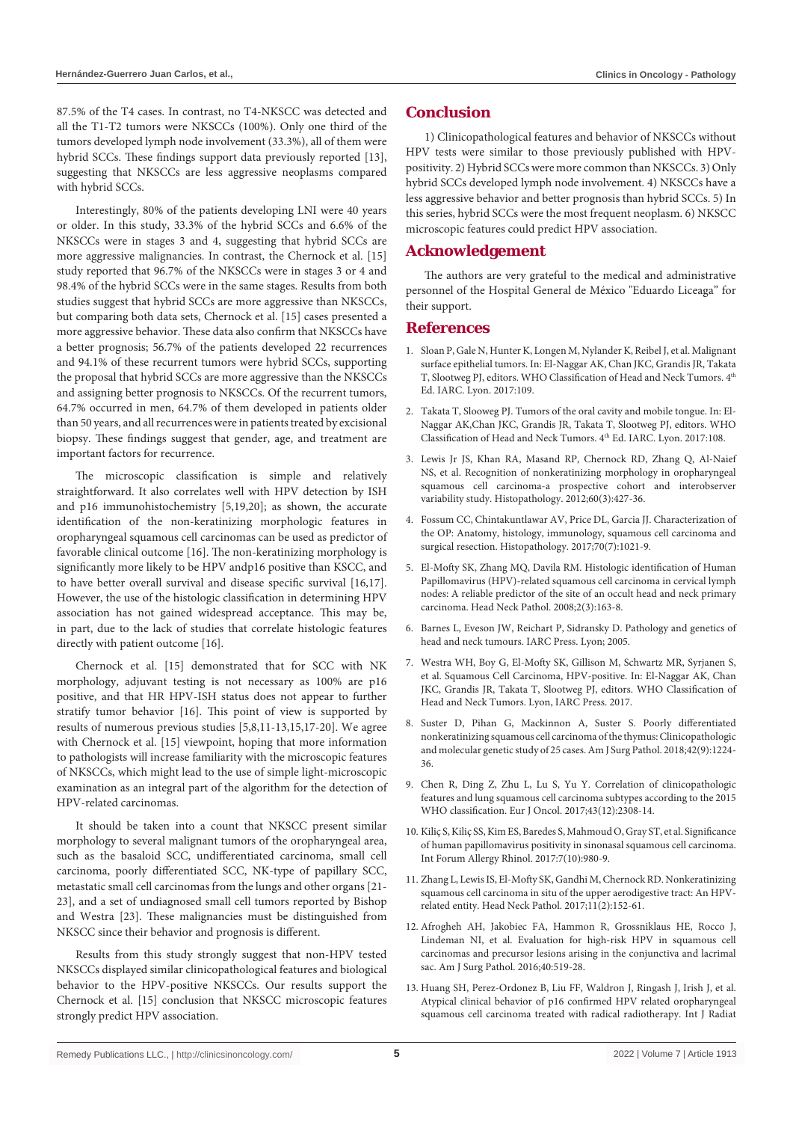87.5% of the T4 cases. In contrast, no T4-NKSCC was detected and all the T1-T2 tumors were NKSCCs (100%). Only one third of the tumors developed lymph node involvement (33.3%), all of them were hybrid SCCs. These findings support data previously reported [13], suggesting that NKSCCs are less aggressive neoplasms compared with hybrid SCCs.

Interestingly, 80% of the patients developing LNI were 40 years or older. In this study, 33.3% of the hybrid SCCs and 6.6% of the NKSCCs were in stages 3 and 4, suggesting that hybrid SCCs are more aggressive malignancies. In contrast, the Chernock et al. [15] study reported that 96.7% of the NKSCCs were in stages 3 or 4 and 98.4% of the hybrid SCCs were in the same stages. Results from both studies suggest that hybrid SCCs are more aggressive than NKSCCs, but comparing both data sets, Chernock et al. [15] cases presented a more aggressive behavior. These data also confirm that NKSCCs have a better prognosis; 56.7% of the patients developed 22 recurrences and 94.1% of these recurrent tumors were hybrid SCCs, supporting the proposal that hybrid SCCs are more aggressive than the NKSCCs and assigning better prognosis to NKSCCs. Of the recurrent tumors, 64.7% occurred in men, 64.7% of them developed in patients older than 50 years, and all recurrences were in patients treated by excisional biopsy. These findings suggest that gender, age, and treatment are important factors for recurrence.

The microscopic classification is simple and relatively straightforward. It also correlates well with HPV detection by ISH and p16 immunohistochemistry [5,19,20]; as shown, the accurate identification of the non-keratinizing morphologic features in oropharyngeal squamous cell carcinomas can be used as predictor of favorable clinical outcome [16]. The non-keratinizing morphology is significantly more likely to be HPV andp16 positive than KSCC, and to have better overall survival and disease specific survival [16,17]. However, the use of the histologic classification in determining HPV association has not gained widespread acceptance. This may be, in part, due to the lack of studies that correlate histologic features directly with patient outcome [16].

Chernock et al. [15] demonstrated that for SCC with NK morphology, adjuvant testing is not necessary as 100% are p16 positive, and that HR HPV-ISH status does not appear to further stratify tumor behavior [16]. This point of view is supported by results of numerous previous studies [5,8,11-13,15,17-20]. We agree with Chernock et al. [15] viewpoint, hoping that more information to pathologists will increase familiarity with the microscopic features of NKSCCs, which might lead to the use of simple light-microscopic examination as an integral part of the algorithm for the detection of HPV-related carcinomas.

It should be taken into a count that NKSCC present similar morphology to several malignant tumors of the oropharyngeal area, such as the basaloid SCC, undifferentiated carcinoma, small cell carcinoma, poorly differentiated SCC, NK-type of papillary SCC, metastatic small cell carcinomas from the lungs and other organs [21- 23], and a set of undiagnosed small cell tumors reported by Bishop and Westra [23]. These malignancies must be distinguished from NKSCC since their behavior and prognosis is different.

Results from this study strongly suggest that non-HPV tested NKSCCs displayed similar clinicopathological features and biological behavior to the HPV-positive NKSCCs. Our results support the Chernock et al. [15] conclusion that NKSCC microscopic features strongly predict HPV association.

# **Conclusion**

1) Clinicopathological features and behavior of NKSCCs without HPV tests were similar to those previously published with HPVpositivity. 2) Hybrid SCCs were more common than NKSCCs. 3) Only hybrid SCCs developed lymph node involvement. 4) NKSCCs have a less aggressive behavior and better prognosis than hybrid SCCs. 5) In this series, hybrid SCCs were the most frequent neoplasm. 6) NKSCC microscopic features could predict HPV association.

# **Acknowledgement**

The authors are very grateful to the medical and administrative personnel of the Hospital General de México "Eduardo Liceaga" for their support.

# **References**

- 1. Sloan P, Gale N, Hunter K, Longen M, Nylander K, Reibel J, et al. Malignant surface epithelial tumors. In: El-Naggar AK, Chan JKC, Grandis JR, Takata T, Slootweg PJ, editors. WHO Classification of Head and Neck Tumors. 4<sup>th</sup> Ed. IARC. Lyon. 2017:109.
- 2. Takata T, Slooweg PJ. Tumors of the oral cavity and mobile tongue. In: El-Naggar AK,Chan JKC, Grandis JR, Takata T, Slootweg PJ, editors. WHO Classification of Head and Neck Tumors. 4<sup>th</sup> Ed. IARC. Lyon. 2017:108.
- 3. [Lewis Jr JS, Khan RA, Masand RP, Chernock RD, Zhang Q, Al-Naief](https://pubmed.ncbi.nlm.nih.gov/22211374/)  [NS, et al. Recognition of nonkeratinizing morphology in oropharyngeal](https://pubmed.ncbi.nlm.nih.gov/22211374/)  [squamous cell carcinoma-a prospective cohort and interobserver](https://pubmed.ncbi.nlm.nih.gov/22211374/)  [variability study. Histopathology. 2012;60\(3\):427-36.](https://pubmed.ncbi.nlm.nih.gov/22211374/)
- 4. [Fossum CC, Chintakuntlawar AV, Price DL, Garcia JJ. Characterization of](https://pubmed.ncbi.nlm.nih.gov/27926789/)  [the OP: Anatomy, histology, immunology, squamous cell carcinoma and](https://pubmed.ncbi.nlm.nih.gov/27926789/)  [surgical resection. Histopathology. 2017;70\(7\):1021-9.](https://pubmed.ncbi.nlm.nih.gov/27926789/)
- 5. [El-Mofty SK, Zhang MQ, Davila RM. Histologic identification of Human](https://pubmed.ncbi.nlm.nih.gov/20614311/)  [Papillomavirus \(HPV\)-related squamous cell carcinoma in cervical lymph](https://pubmed.ncbi.nlm.nih.gov/20614311/)  [nodes: A reliable predictor of the site of an occult head and neck primary](https://pubmed.ncbi.nlm.nih.gov/20614311/)  [carcinoma. Head Neck Pathol. 2008;2\(3\):163-8.](https://pubmed.ncbi.nlm.nih.gov/20614311/)
- 6. [Barnes L, Eveson JW, Reichart P, Sidransky D. Pathology and genetics of](https://screening.iarc.fr/doc/BB9.pdf)  [head and neck tumours. IARC Press. Lyon; 2005.](https://screening.iarc.fr/doc/BB9.pdf)
- 7. Westra WH, Boy G, El-Mofty SK, Gillison M, Schwartz MR, Syrjanen S, et al. Squamous Cell Carcinoma, HPV-positive. In: El-Naggar AK, Chan JKC, Grandis JR, Takata T, Slootweg PJ, editors. WHO Classification of Head and Neck Tumors. Lyon, IARC Press. 2017.
- 8. Suster D, Pihan G, Mackinnon A, Suster S. Poorly differentiated nonkeratinizing squamous cell carcinoma of the thymus: Clinicopathologic and molecular genetic study of 25 cases. Am J Surg Pathol. 2018;42(9):1224- 36.
- 9. [Chen R, Ding Z, Zhu L, Lu S, Yu Y. Correlation of clinicopathologic](https://pubmed.ncbi.nlm.nih.gov/28964610/)  [features and lung squamous cell carcinoma subtypes according to the 2015](https://pubmed.ncbi.nlm.nih.gov/28964610/)  [WHO classification. Eur J Oncol. 2017;43\(12\):2308-14.](https://pubmed.ncbi.nlm.nih.gov/28964610/)
- 10. [Kiliç S, Kiliç SS, Kim ES, Baredes S, Mahmoud O, Gray ST, et al. Significance](https://pubmed.ncbi.nlm.nih.gov/28859244/)  [of human papillomavirus positivity in sinonasal squamous cell carcinoma.](https://pubmed.ncbi.nlm.nih.gov/28859244/)  [Int Forum Allergy Rhinol. 2017:7\(10\):980-9.](https://pubmed.ncbi.nlm.nih.gov/28859244/)
- 11. [Zhang L, Lewis IS, El-Mofty SK, Gandhi M, Chernock RD. Nonkeratinizing](https://pubmed.ncbi.nlm.nih.gov/27492445/)  [squamous cell carcinoma in situ of the upper aerodigestive tract: An HPV](https://pubmed.ncbi.nlm.nih.gov/27492445/)[related entity. Head Neck Pathol. 2017;11\(2\):152-61.](https://pubmed.ncbi.nlm.nih.gov/27492445/)
- 12. [Afrogheh AH, Jakobiec FA, Hammon R, Grossniklaus HE, Rocco J,](https://pubmed.ncbi.nlm.nih.gov/26735858/)  [Lindeman NI, et al. Evaluation for high-risk HPV in squamous cell](https://pubmed.ncbi.nlm.nih.gov/26735858/)  [carcinomas and precursor lesions arising in the conjunctiva and lacrimal](https://pubmed.ncbi.nlm.nih.gov/26735858/)  [sac. Am J Surg Pathol. 2016;40:519-28.](https://pubmed.ncbi.nlm.nih.gov/26735858/)
- 13. [Huang SH, Perez-Ordonez B, Liu FF, Waldron J, Ringash J, Irish J, et al.](https://pubmed.ncbi.nlm.nih.gov/20950953/)  [Atypical clinical behavior of p16 confirmed HPV related oropharyngeal](https://pubmed.ncbi.nlm.nih.gov/20950953/)  [squamous cell carcinoma treated with radical radiotherapy. Int J Radiat](https://pubmed.ncbi.nlm.nih.gov/20950953/)